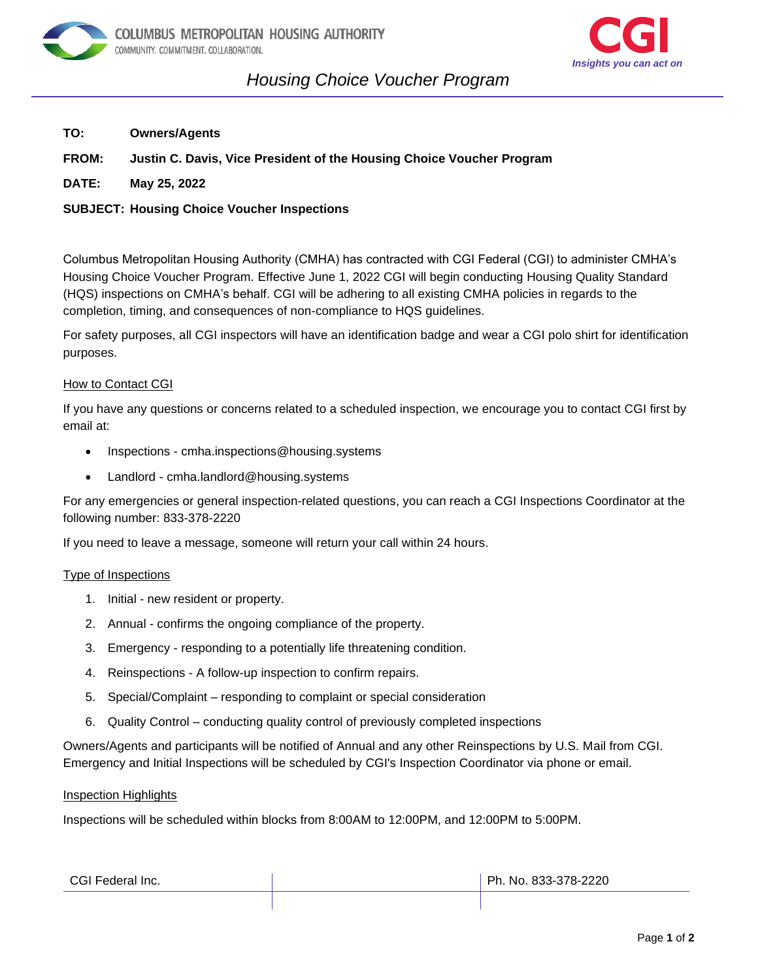



# *Housing Choice Voucher Program on*

- **TO: Owners/Agents**
- **FROM: Justin C. Davis, Vice President of the Housing Choice Voucher Program**
- **DATE: May 25, 2022**

## **SUBJECT: Housing Choice Voucher Inspections**

Columbus Metropolitan Housing Authority (CMHA) has contracted with CGI Federal (CGI) to administer CMHA's Housing Choice Voucher Program. Effective June 1, 2022 CGI will begin conducting Housing Quality Standard (HQS) inspections on CMHA's behalf. CGI will be adhering to all existing CMHA policies in regards to the completion, timing, and consequences of non-compliance to HQS guidelines.

For safety purposes, all CGI inspectors will have an identification badge and wear a CGI polo shirt for identification purposes.

### How to Contact CGI

If you have any questions or concerns related to a scheduled inspection, we encourage you to contact CGI first by email at:

- Inspections cmha.inspections@housing.systems
- Landlord cmha.landlord@housing.systems

For any emergencies or general inspection-related questions, you can reach a CGI Inspections Coordinator at the following number: 833-378-2220

If you need to leave a message, someone will return your call within 24 hours.

#### Type of Inspections

- 1. Initial new resident or property.
- 2. Annual confirms the ongoing compliance of the property.
- 3. Emergency responding to a potentially life threatening condition.
- 4. Reinspections A follow-up inspection to confirm repairs.
- 5. Special/Complaint responding to complaint or special consideration
- 6. Quality Control conducting quality control of previously completed inspections

Owners/Agents and participants will be notified of Annual and any other Reinspections by U.S. Mail from CGI. Emergency and Initial Inspections will be scheduled by CGI's Inspection Coordinator via phone or email.

#### Inspection Highlights

Inspections will be scheduled within blocks from 8:00AM to 12:00PM, and 12:00PM to 5:00PM.

| CGI Federal Inc. | Ph. No. 833-378-2220 |
|------------------|----------------------|
|                  |                      |